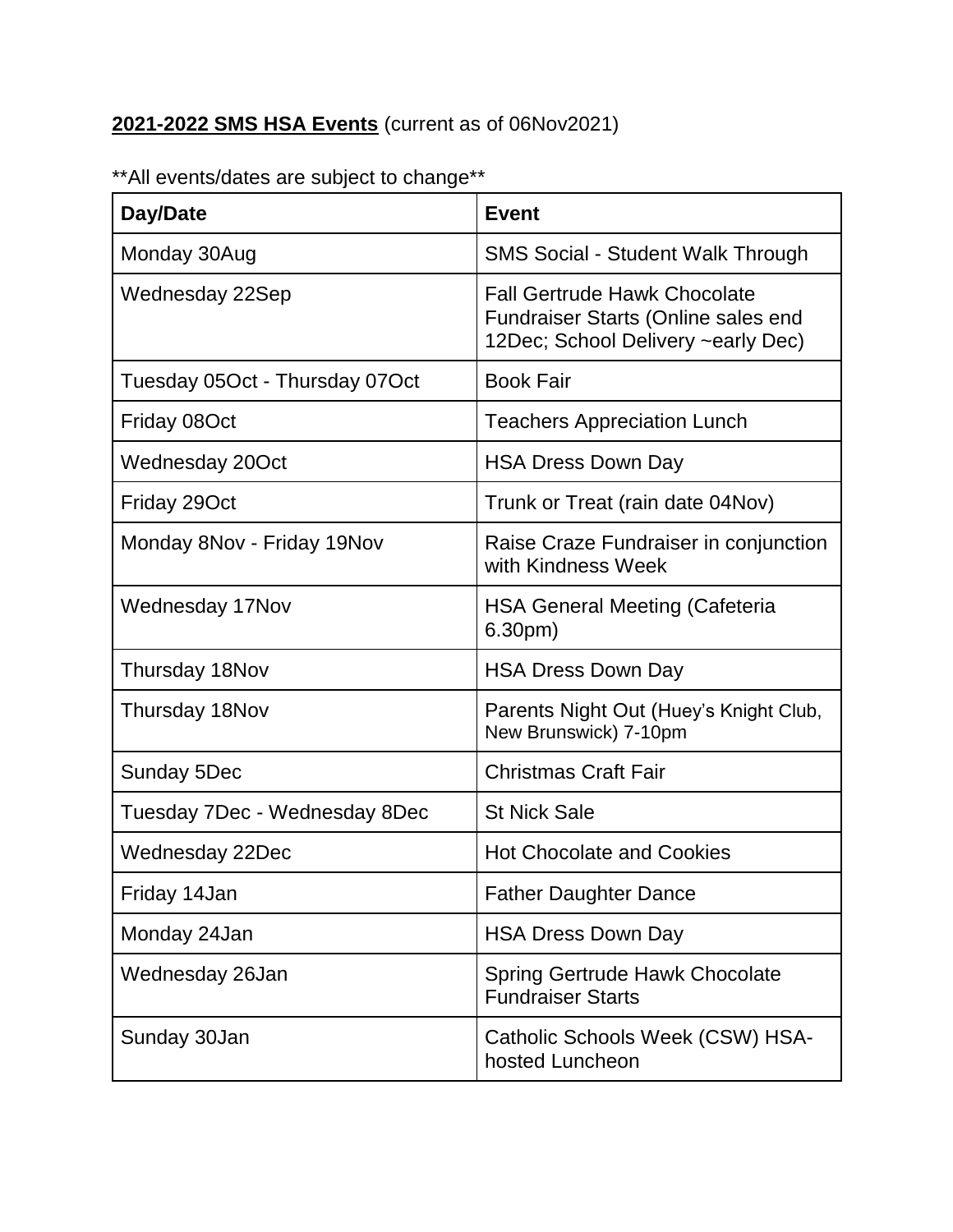## **2021-2022 SMS HSA Events** (current as of 06Nov2021)

| Day/Date                       | <b>Event</b>                                                                                                     |
|--------------------------------|------------------------------------------------------------------------------------------------------------------|
| Monday 30Aug                   | <b>SMS Social - Student Walk Through</b>                                                                         |
| Wednesday 22Sep                | <b>Fall Gertrude Hawk Chocolate</b><br>Fundraiser Starts (Online sales end<br>12Dec; School Delivery ~early Dec) |
| Tuesday 05Oct - Thursday 07Oct | <b>Book Fair</b>                                                                                                 |
| Friday 08Oct                   | <b>Teachers Appreciation Lunch</b>                                                                               |
| Wednesday 20Oct                | <b>HSA Dress Down Day</b>                                                                                        |
| Friday 29Oct                   | Trunk or Treat (rain date 04Nov)                                                                                 |
| Monday 8Nov - Friday 19Nov     | Raise Craze Fundraiser in conjunction<br>with Kindness Week                                                      |
| Wednesday 17Nov                | <b>HSA General Meeting (Cafeteria</b><br>6.30 <sub>pm</sub>                                                      |
| Thursday 18Nov                 | <b>HSA Dress Down Day</b>                                                                                        |
| Thursday 18Nov                 | Parents Night Out (Huey's Knight Club,<br>New Brunswick) 7-10pm                                                  |
| Sunday 5Dec                    | <b>Christmas Craft Fair</b>                                                                                      |
| Tuesday 7Dec - Wednesday 8Dec  | <b>St Nick Sale</b>                                                                                              |
| Wednesday 22Dec                | <b>Hot Chocolate and Cookies</b>                                                                                 |
| Friday 14Jan                   | <b>Father Daughter Dance</b>                                                                                     |
| Monday 24Jan                   | <b>HSA Dress Down Day</b>                                                                                        |
| Wednesday 26Jan                | <b>Spring Gertrude Hawk Chocolate</b><br><b>Fundraiser Starts</b>                                                |
| Sunday 30Jan                   | Catholic Schools Week (CSW) HSA-<br>hosted Luncheon                                                              |

\*\*All events/dates are subject to change\*\*